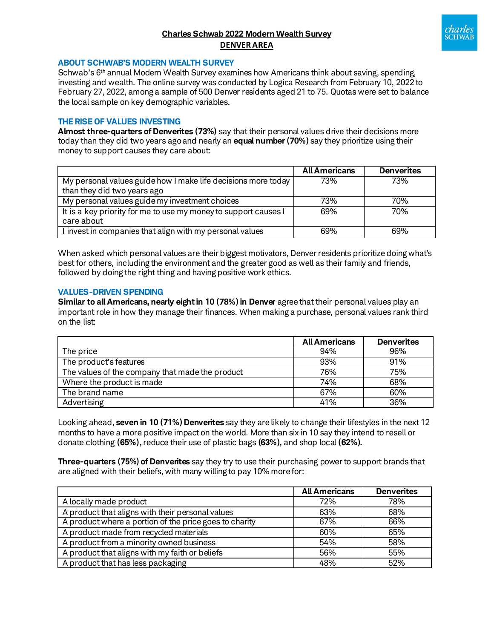# **Charles Schwab 2022 Modern Wealth Survey DENVER AREA**



#### **ABOUT SCHWAB'S MODERN WEALTH SURVEY**

Schwab's 6th annual Modern Wealth Survey examines how Americans think about saving, spending, investing and wealth. The online survey was conducted by Logica Research from February 10, 2022 to February 27, 2022, among a sample of 500 Denver residents aged 21 to 75. Quotas were set to balance the local sample on key demographic variables.

### **THE RISE OF VALUES INVESTING**

**Almost three-quarters of Denverites (73%)** say that their personal values drive their decisions more today than they did two years agoand nearly an **equal number (70%)** say they prioritize using their money to support causes they care about:

|                                                                 | <b>All Americans</b> | <b>Denverites</b> |
|-----------------------------------------------------------------|----------------------|-------------------|
| My personal values guide how I make life decisions more today   | 73%                  | 73%               |
| than they did two years ago                                     |                      |                   |
| My personal values guide my investment choices                  | 73%                  | 70%               |
| It is a key priority for me to use my money to support causes I | 69%                  | 70%               |
| care about                                                      |                      |                   |
| I invest in companies that align with my personal values        | 69%                  | 69%               |

When asked which personal values are their biggest motivators, Denver residents prioritize doing what's best for others, including the environment and the greater good as well as their family and friends, followed by doing the right thing and having positive work ethics.

#### **VALUES-DRIVEN SPENDING**

**Similar to all Americans, nearly eight in 10 (78%) in Denver** agree that their personal values play an important role in how they manage their finances. When making a purchase, personal values rank third on the list:

|                                                 | <b>All Americans</b> | <b>Denverites</b> |
|-------------------------------------------------|----------------------|-------------------|
| The price                                       | 94%                  | 96%               |
| The product's features                          | 93%                  | 91%               |
| The values of the company that made the product | 76%                  | 75%               |
| Where the product is made                       | 74%                  | 68%               |
| The brand name                                  | 67%                  | 60%               |
| Advertising                                     | 41%                  | 36%               |

Looking ahead, **seven in 10 (71%) Denverites** say they are likely to change their lifestyles in the next 12 months to have a more positive impact on the world. More than six in 10 say they intend to resell or donate clothing **(65%),** reduce their use of plastic bags **(63%),** and shop local **(62%).**

**Three-quarters (75%) of Denverites** say they try to use their purchasing power to support brands that are aligned with their beliefs, with many willing to pay 10% more for:

|                                                        | <b>All Americans</b> | <b>Denverites</b> |
|--------------------------------------------------------|----------------------|-------------------|
| A locally made product                                 | 72%                  | 78%               |
| A product that aligns with their personal values       | 63%                  | 68%               |
| A product where a portion of the price goes to charity | 67%                  | 66%               |
| A product made from recycled materials                 | 60%                  | 65%               |
| A product from a minority owned business               | 54%                  | 58%               |
| A product that aligns with my faith or beliefs         | 56%                  | 55%               |
| A product that has less packaging                      | 48%                  | 52%               |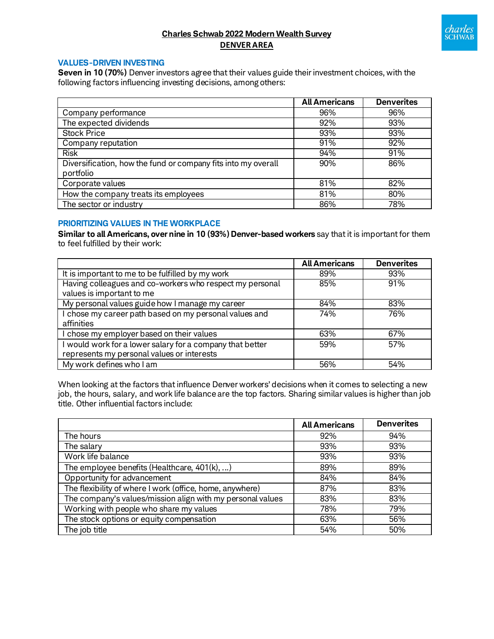

# **Charles Schwab 2022 Modern Wealth Survey DENVER AREA**

## **VALUES-DRIVEN INVESTING**

**Seven in 10 (70%)** Denver investors agree that their values guide their investment choices, with the following factors influencing investing decisions, among others:

|                                                                            | <b>All Americans</b> | <b>Denverites</b> |
|----------------------------------------------------------------------------|----------------------|-------------------|
| Company performance                                                        | 96%                  | 96%               |
| The expected dividends                                                     | 92%                  | 93%               |
| <b>Stock Price</b>                                                         | 93%                  | 93%               |
| Company reputation                                                         | 91%                  | 92%               |
| <b>Risk</b>                                                                | 94%                  | 91%               |
| Diversification, how the fund or company fits into my overall<br>portfolio | 90%                  | 86%               |
| Corporate values                                                           | 81%                  | 82%               |
| How the company treats its employees                                       | 81%                  | 80%               |
| The sector or industry                                                     | 86%                  | 78%               |

## **PRIORITIZING VALUES IN THE WORKPLACE**

**Similar to all Americans, over nine in 10 (93%) Denver-based workers** say that it is important for them to feel fulfilled by their work:

|                                                           | <b>All Americans</b> | <b>Denverites</b> |
|-----------------------------------------------------------|----------------------|-------------------|
| It is important to me to be fulfilled by my work          | 89%                  | 93%               |
| Having colleagues and co-workers who respect my personal  | 85%                  | 91%               |
| values is important to me                                 |                      |                   |
| My personal values guide how I manage my career           | 84%                  | 83%               |
| I chose my career path based on my personal values and    | 74%                  | 76%               |
| affinities                                                |                      |                   |
| I chose my employer based on their values                 | 63%                  | 67%               |
| I would work for a lower salary for a company that better | 59%                  | 57%               |
| represents my personal values or interests                |                      |                   |
| My work defines who I am                                  | 56%                  | 54%               |

When looking at the factors that influence Denver workers' decisions when it comes to selecting a new job, the hours, salary, and work life balance are the top factors. Sharing similar values is higher than job title. Other influential factors include:

|                                                            | <b>All Americans</b> | <b>Denverites</b> |
|------------------------------------------------------------|----------------------|-------------------|
| The hours                                                  | 92%                  | 94%               |
| The salary                                                 | 93%                  | 93%               |
| Work life balance                                          | 93%                  | 93%               |
| The employee benefits (Healthcare, 401(k), )               | 89%                  | 89%               |
| Opportunity for advancement                                | 84%                  | 84%               |
| The flexibility of where I work (office, home, anywhere)   | 87%                  | 83%               |
| The company's values/mission align with my personal values | 83%                  | 83%               |
| Working with people who share my values                    | 78%                  | 79%               |
| The stock options or equity compensation                   | 63%                  | 56%               |
| The job title                                              | 54%                  | 50%               |